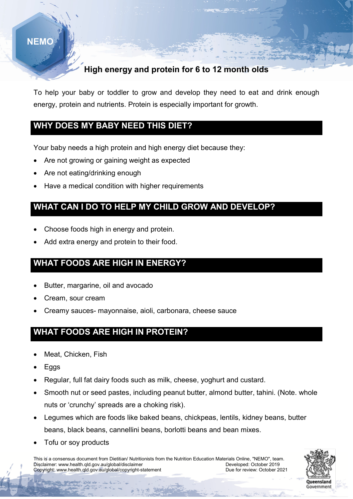# **NEMO**

## High energy and protein for 6 to 12 month olds

To help your baby or toddler to grow and develop they need to eat and drink enough energy, protein and nutrients. Protein is especially important for growth.

#### WHY DOES MY BABY NEED THIS DIET?

Your baby needs a high protein and high energy diet because they:

- Are not growing or gaining weight as expected
- Are not eating/drinking enough
- Have a medical condition with higher requirements

### WHAT CAN I DO TO HELP MY CHILD GROW AND DEVELOP?

- Choose foods high in energy and protein.
- Add extra energy and protein to their food.

## WHAT FOODS ARE HIGH IN ENERGY?

- Butter, margarine, oil and avocado
- Cream, sour cream
- Creamy sauces- mayonnaise, aioli, carbonara, cheese sauce

## WHAT FOODS ARE HIGH IN PROTEIN?

- Meat, Chicken, Fish
- Eggs

í

- Regular, full fat dairy foods such as milk, cheese, yoghurt and custard.
- Smooth nut or seed pastes, including peanut butter, almond butter, tahini. (Note. whole nuts or 'crunchy' spreads are a choking risk).
- Legumes which are foods like baked beans, chickpeas, lentils, kidney beans, butter beans, black beans, cannellini beans, borlotti beans and bean mixes.
- Tofu or soy products

This is a consensus document from Dietitian/ Nutritionists from the Nutrition Education Materials Online, "NEMO", team.<br>Disclaimer: www.health.gld.gov.au/global/disclaimer Disclaimer: www.health.qld.gov.au/global/disclaimer<br>Copyright: www.health.qld.gov.au/global/copyright-statement Developed: October 2021<br>Due for review: October 2021 Copyright: www.health.qld.gov.au/global/copyright-statement

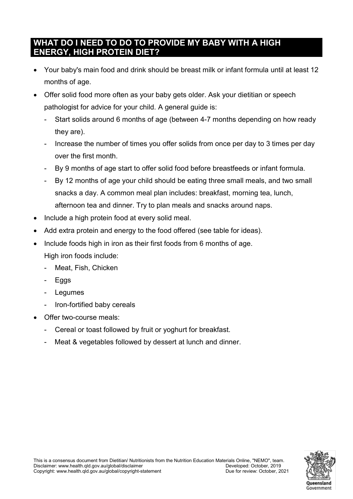### WHAT DO I NEED TO DO TO PROVIDE MY BABY WITH A HIGH ENERGY, HIGH PROTEIN DIET?

- Your baby's main food and drink should be breast milk or infant formula until at least 12 months of age.
- Offer solid food more often as your baby gets older. Ask your dietitian or speech pathologist for advice for your child. A general guide is:
	- Start solids around 6 months of age (between 4-7 months depending on how ready they are).
	- Increase the number of times you offer solids from once per day to 3 times per day over the first month.
	- By 9 months of age start to offer solid food before breastfeeds or infant formula.
	- By 12 months of age your child should be eating three small meals, and two small snacks a day. A common meal plan includes: breakfast, morning tea, lunch, afternoon tea and dinner. Try to plan meals and snacks around naps.
- Include a high protein food at every solid meal.
- Add extra protein and energy to the food offered (see table for ideas).
- Include foods high in iron as their first foods from 6 months of age. High iron foods include:
	- Meat, Fish, Chicken
	- Eggs
	- Legumes
	- Iron-fortified baby cereals
- Offer two-course meals:
	- Cereal or toast followed by fruit or yoghurt for breakfast.
	- Meat & vegetables followed by dessert at lunch and dinner.

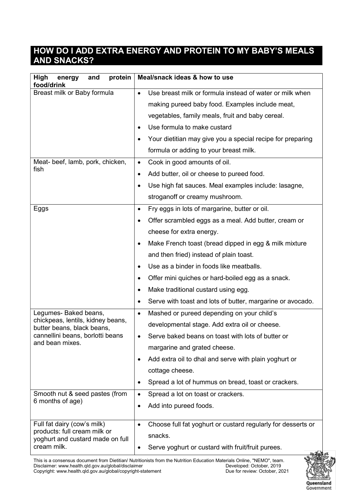#### HOW DO I ADD EXTRA ENERGY AND PROTEIN TO MY BABY'S MEALS AND SNACKS?

| <b>High</b><br>protein<br>energy<br>and<br>food/drink                                                                  | Meal/snack ideas & how to use                                             |  |
|------------------------------------------------------------------------------------------------------------------------|---------------------------------------------------------------------------|--|
| Breast milk or Baby formula                                                                                            | Use breast milk or formula instead of water or milk when                  |  |
|                                                                                                                        | making pureed baby food. Examples include meat,                           |  |
|                                                                                                                        | vegetables, family meals, fruit and baby cereal.                          |  |
|                                                                                                                        | Use formula to make custard<br>٠                                          |  |
|                                                                                                                        | Your dietitian may give you a special recipe for preparing<br>٠           |  |
|                                                                                                                        | formula or adding to your breast milk.                                    |  |
| Meat- beef, lamb, pork, chicken,<br>fish                                                                               | Cook in good amounts of oil.<br>$\bullet$                                 |  |
|                                                                                                                        | Add butter, oil or cheese to pureed food.<br>٠                            |  |
|                                                                                                                        | Use high fat sauces. Meal examples include: lasagne,                      |  |
|                                                                                                                        | stroganoff or creamy mushroom.                                            |  |
| Eggs                                                                                                                   | Fry eggs in lots of margarine, butter or oil.<br>٠                        |  |
|                                                                                                                        | Offer scrambled eggs as a meal. Add butter, cream or                      |  |
|                                                                                                                        | cheese for extra energy.                                                  |  |
|                                                                                                                        | Make French toast (bread dipped in egg & milk mixture                     |  |
|                                                                                                                        | and then fried) instead of plain toast.                                   |  |
|                                                                                                                        | Use as a binder in foods like meatballs.                                  |  |
|                                                                                                                        | Offer mini quiches or hard-boiled egg as a snack.<br>٠                    |  |
|                                                                                                                        | Make traditional custard using egg.<br>$\bullet$                          |  |
|                                                                                                                        | Serve with toast and lots of butter, margarine or avocado.                |  |
| Legumes- Baked beans,                                                                                                  | Mashed or pureed depending on your child's<br>$\bullet$                   |  |
| chickpeas, lentils, kidney beans,<br>butter beans, black beans,<br>cannellini beans, borlotti beans<br>and bean mixes. | developmental stage. Add extra oil or cheese.                             |  |
|                                                                                                                        | Serve baked beans on toast with lots of butter or                         |  |
|                                                                                                                        | margarine and grated cheese.                                              |  |
|                                                                                                                        | Add extra oil to dhal and serve with plain yoghurt or<br>٠                |  |
|                                                                                                                        | cottage cheese.                                                           |  |
|                                                                                                                        | Spread a lot of hummus on bread, toast or crackers.<br>$\bullet$          |  |
| Smooth nut & seed pastes (from                                                                                         | Spread a lot on toast or crackers.<br>$\bullet$                           |  |
| 6 months of age)                                                                                                       | Add into pureed foods.<br>$\bullet$                                       |  |
| Full fat dairy (cow's milk)                                                                                            | Choose full fat yoghurt or custard regularly for desserts or<br>$\bullet$ |  |
| products: full cream milk or<br>yoghurt and custard made on full<br>cream milk.                                        | snacks.                                                                   |  |
|                                                                                                                        | Serve yoghurt or custard with fruit/fruit purees.                         |  |

This is a consensus document from Dietitian/ Nutritionists from the Nutrition Education Materials Online, "NEMO", team. Disclaimer: www.health.qld.gov.au/global/disclaimer Developed: October, 2019 Copyright: www.health.qld.gov.au/global/copyright-statement Due for review: October, 2021

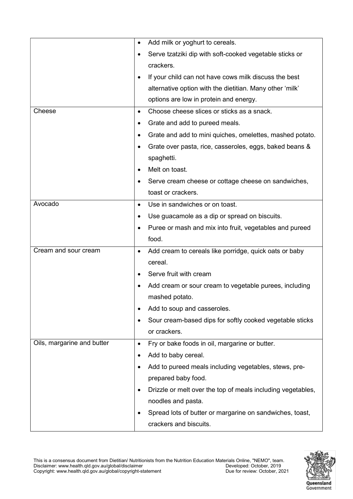|                            | Add milk or yoghurt to cereals.<br>$\bullet$                             |  |
|----------------------------|--------------------------------------------------------------------------|--|
|                            | Serve tzatziki dip with soft-cooked vegetable sticks or<br>crackers.     |  |
|                            |                                                                          |  |
|                            | If your child can not have cows milk discuss the best<br>$\bullet$       |  |
|                            | alternative option with the dietitian. Many other 'milk'                 |  |
|                            | options are low in protein and energy.                                   |  |
| Cheese                     | Choose cheese slices or sticks as a snack.<br>$\bullet$                  |  |
|                            | Grate and add to pureed meals.<br>٠                                      |  |
|                            | Grate and add to mini quiches, omelettes, mashed potato.<br>$\bullet$    |  |
|                            | Grate over pasta, rice, casseroles, eggs, baked beans &<br>$\bullet$     |  |
|                            | spaghetti.                                                               |  |
|                            | Melt on toast.<br>$\bullet$                                              |  |
|                            | Serve cream cheese or cottage cheese on sandwiches,<br>٠                 |  |
|                            | toast or crackers.                                                       |  |
| Avocado                    | Use in sandwiches or on toast.<br>$\bullet$                              |  |
|                            | Use guacamole as a dip or spread on biscuits.<br>$\bullet$               |  |
|                            | Puree or mash and mix into fruit, vegetables and pureed<br>$\bullet$     |  |
|                            | food.                                                                    |  |
| Cream and sour cream       | Add cream to cereals like porridge, quick oats or baby<br>$\bullet$      |  |
|                            | cereal.                                                                  |  |
|                            | Serve fruit with cream<br>$\bullet$                                      |  |
|                            | Add cream or sour cream to vegetable purees, including<br>٠              |  |
|                            | mashed potato.                                                           |  |
|                            | Add to soup and casseroles.<br>$\bullet$                                 |  |
|                            | Sour cream-based dips for softly cooked vegetable sticks<br>٠            |  |
|                            | or crackers.                                                             |  |
| Oils, margarine and butter | Fry or bake foods in oil, margarine or butter.<br>$\bullet$              |  |
|                            | Add to baby cereal.                                                      |  |
|                            | Add to pureed meals including vegetables, stews, pre-                    |  |
|                            | prepared baby food.                                                      |  |
|                            | Drizzle or melt over the top of meals including vegetables,<br>$\bullet$ |  |
|                            | noodles and pasta.                                                       |  |
|                            | Spread lots of butter or margarine on sandwiches, toast,                 |  |
|                            | crackers and biscuits.                                                   |  |